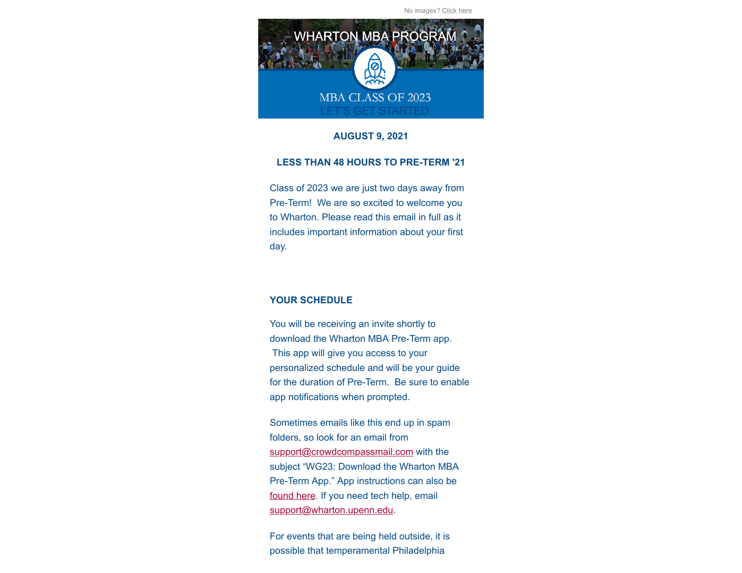No images? [Click here](https://mbaprogramoffice.createsend1.com/t/j-e-fhrulhy-l-p/)



# **AUGUST 9, 2021**

### **LESS THAN 48 HOURS TO PRE-TERM '21**

Class of 2023 we are just two days away from Pre-Term! We are so excited to welcome you to Wharton. Please read this email in full as it includes important information about your first day.

## **YOUR SCHEDULE**

You will be receiving an invite shortly to download the Wharton MBA Pre-Term app. This app will give you access to your personalized schedule and will be your guide for the duration of Pre-Term. Be sure to enable app notifications when prompted.

Sometimes emails like this end up in spam folders, so look for an email from [support@crowdcompassmail.com](mailto:support@crowdcompassmail.com) with the subject "WG23: Download the Wharton MBA Pre-Term App." App instructions can also be [found here.](https://mbaprogramoffice.createsend1.com/t/j-l-fhrulhy-l-r/) If you need tech help, email [support@wharton.upenn.edu.](mailto:support@wharton.upenn.edu)

For events that are being held outside, it is possible that temperamental Philadelphia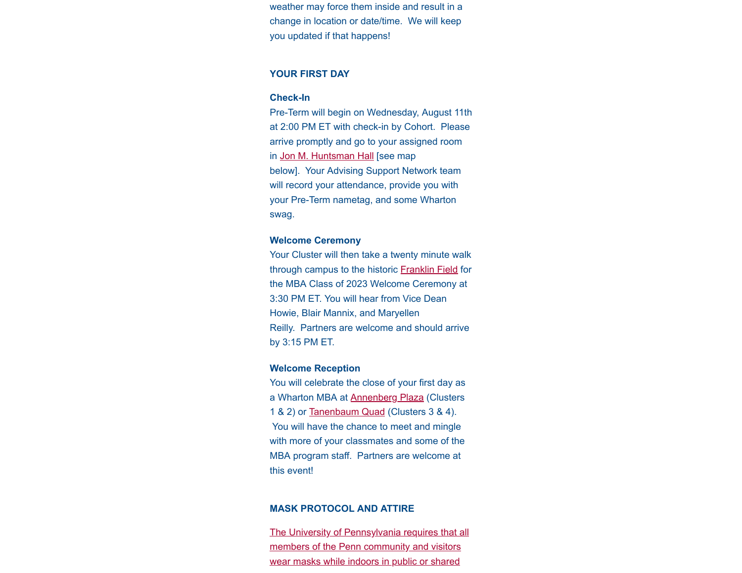weather may force them inside and result in a change in location or date/time. We will keep you updated if that happens!

## **YOUR FIRST DAY**

#### **Check-In**

Pre-Term will begin on Wednesday, August 11th at 2:00 PM ET with check-in by Cohort. Please arrive promptly and go to your assigned room in [Jon M. Huntsman Hall](https://mbaprogramoffice.createsend1.com/t/j-l-fhrulhy-l-y/) [see map below]. Your Advising Support Network team will record your attendance, provide you with your Pre-Term nametag, and some Wharton swag.

#### **Welcome Ceremony**

Your Cluster will then take a twenty minute walk through campus to the historic [Franklin Field](https://mbaprogramoffice.createsend1.com/t/j-l-fhrulhy-l-j/) for the MBA Class of 2023 Welcome Ceremony at 3:30 PM ET. You will hear from Vice Dean Howie, Blair Mannix, and Maryellen Reilly. Partners are welcome and should arrive by 3:15 PM ET.

#### **Welcome Reception**

You will celebrate the close of your first day as a Wharton MBA at **[Annenberg Plaza](https://mbaprogramoffice.createsend1.com/t/j-l-fhrulhy-l-t/)** (Clusters 1 & 2) or [Tanenbaum Quad](https://mbaprogramoffice.createsend1.com/t/j-l-fhrulhy-l-u/) (Clusters 3 & 4). You will have the chance to meet and mingle with more of your classmates and some of the MBA program staff. Partners are welcome at this event!

#### **MASK PROTOCOL AND ATTIRE**

[The University of Pennsylvania requires that all](https://mbaprogramoffice.createsend1.com/t/j-l-fhrulhy-l-o/) members of the Penn community and visitors wear masks while indoors in public or shared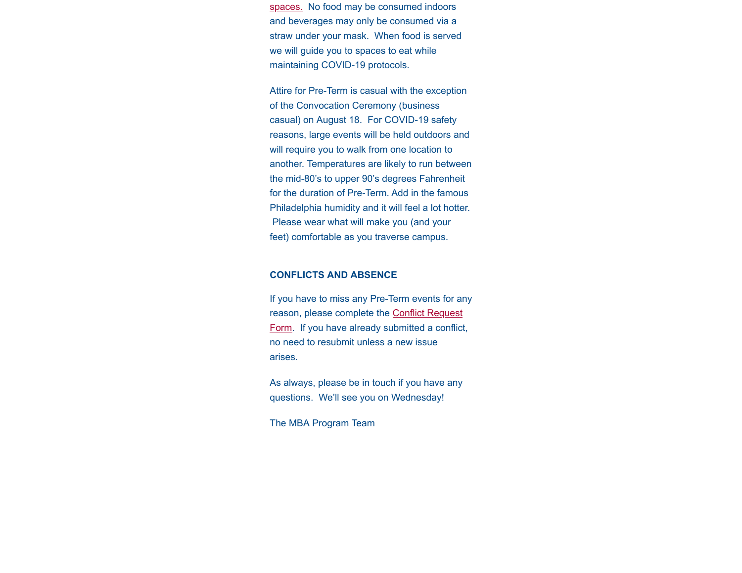spaces. [No food may be consumed indoors](https://mbaprogramoffice.createsend1.com/t/j-l-fhrulhy-l-o/) and beverages may only be consumed via a straw under your mask. When food is served we will guide you to spaces to eat while maintaining COVID-19 protocols.

Attire for Pre-Term is casual with the exception of the Convocation Ceremony (business casual) on August 18. For COVID-19 safety reasons, large events will be held outdoors and will require you to walk from one location to another. Temperatures are likely to run between the mid-80's to upper 90's degrees Fahrenheit for the duration of Pre-Term. Add in the famous Philadelphia humidity and it will feel a lot hotter. Please wear what will make you (and your feet) comfortable as you traverse campus.

## **CONFLICTS AND ABSENCE**

If you have to miss any Pre-Term events for any reason, please complete the Conflict Request [Form. If you have already submitted a conflict](https://mbaprogramoffice.createsend1.com/t/j-l-fhrulhy-l-b/), no need to resubmit unless a new issue arises.

As always, please be in touch if you have any questions. We'll see you on Wednesday!

The MBA Program Team